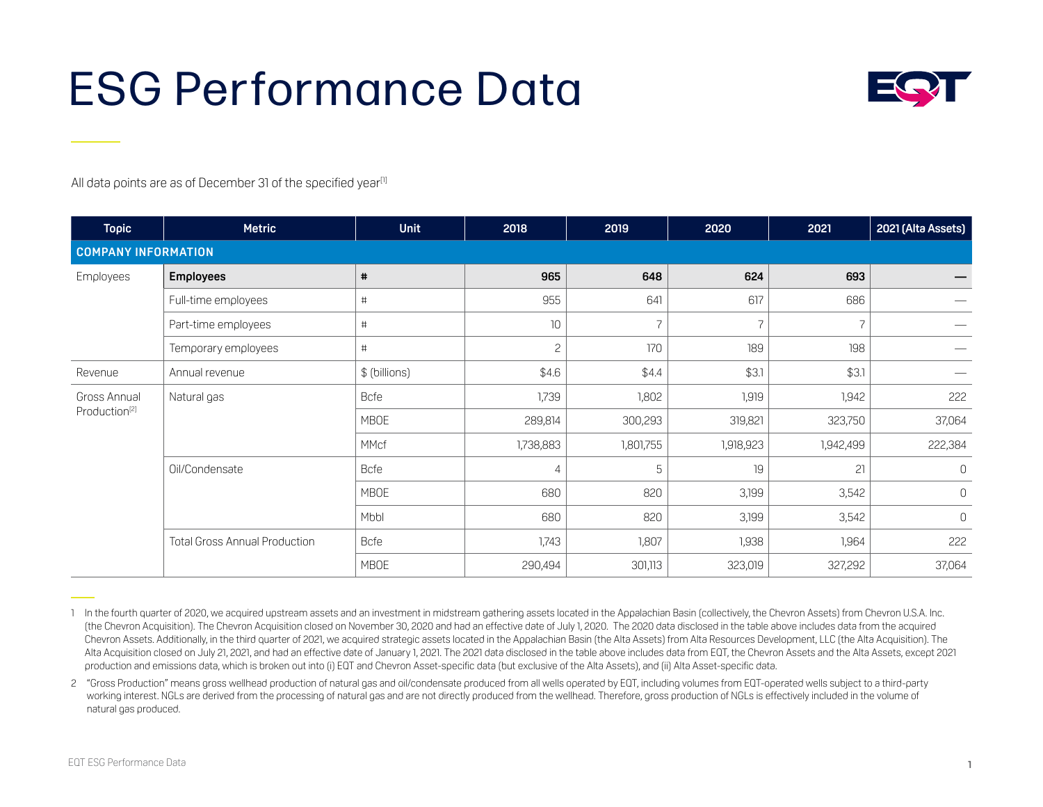## ESG Performance Data



All data points are as of December 31 of the specified year<sup>[1]</sup>

| <b>Topic</b>               | <b>Metric</b>                        | <b>Unit</b>   | 2018         | 2019      | 2020           | 2021           | 2021 (Alta Assets) |
|----------------------------|--------------------------------------|---------------|--------------|-----------|----------------|----------------|--------------------|
| <b>COMPANY INFORMATION</b> |                                      |               |              |           |                |                |                    |
| Employees                  | <b>Employees</b>                     | #             | 965          | 648       | 624            | 693            |                    |
|                            | Full-time employees                  | $\#$          | 955          | 641       | 617            | 686            |                    |
|                            | Part-time employees                  | #             | 10           |           | $\overline{z}$ | $\overline{z}$ |                    |
|                            | Temporary employees                  | #             | $\mathbf{c}$ | 170       | 189            | 198            |                    |
| Revenue                    | Annual revenue                       | \$ (billions) | \$4.6        | \$4.4     | \$3.1          | \$3.1          |                    |
| Gross Annual               | Natural gas                          | <b>Bcfe</b>   | 1,739        | 1,802     | 1,919          | 1,942          | 222                |
| Production <sup>[2]</sup>  |                                      | <b>MBOE</b>   | 289,814      | 300,293   | 319,821        | 323,750        | 37,064             |
|                            |                                      | MMcf          | 1,738,883    | 1,801,755 | 1,918,923      | 1,942,499      | 222,384            |
|                            | Oil/Condensate                       | <b>Bcfe</b>   | 4            | 5         | 19             | 21             | $\mathbf{0}$       |
|                            |                                      | <b>MBOE</b>   | 680          | 820       | 3,199          | 3,542          | $\mathsf{O}$       |
|                            |                                      | Mbbl          | 680          | 820       | 3,199          | 3,542          | $\mathbf{0}$       |
|                            | <b>Total Gross Annual Production</b> | <b>Bcfe</b>   | 1,743        | 1,807     | 1,938          | 1,964          | 222                |
|                            |                                      | <b>MBOE</b>   | 290,494      | 301,113   | 323,019        | 327,292        | 37,064             |

<sup>1</sup> In the fourth quarter of 2020, we acquired upstream assets and an investment in midstream gathering assets located in the Appalachian Basin (collectively, the Chevron Assets) from Chevron U.S.A. Inc. (the Chevron Acquisition). The Chevron Acquisition closed on November 30, 2020 and had an effective date of July 1, 2020. The 2020 data disclosed in the table above includes data from the acquired Chevron Assets. Additionally, in the third quarter of 2021, we acquired strategic assets located in the Appalachian Basin (the Alta Assets) from Alta Resources Development, LLC (the Alta Acquisition). The Alta Acquisition closed on July 21, 2021, and had an effective date of January 1, 2021. The 2021 data disclosed in the table above includes data from EQT, the Chevron Assets and the Alta Assets, except 2021 production and emissions data, which is broken out into (i) EQT and Chevron Asset-specific data (but exclusive of the Alta Assets), and (ii) Alta Asset-specific data.

<sup>2 &</sup>quot;Gross Production" means gross wellhead production of natural gas and oil/condensate produced from all wells operated by EQT, including volumes from EQT-operated wells subject to a third-party working interest. NGLs are derived from the processing of natural gas and are not directly produced from the wellhead. Therefore, gross production of NGLs is effectively included in the volume of natural gas produced.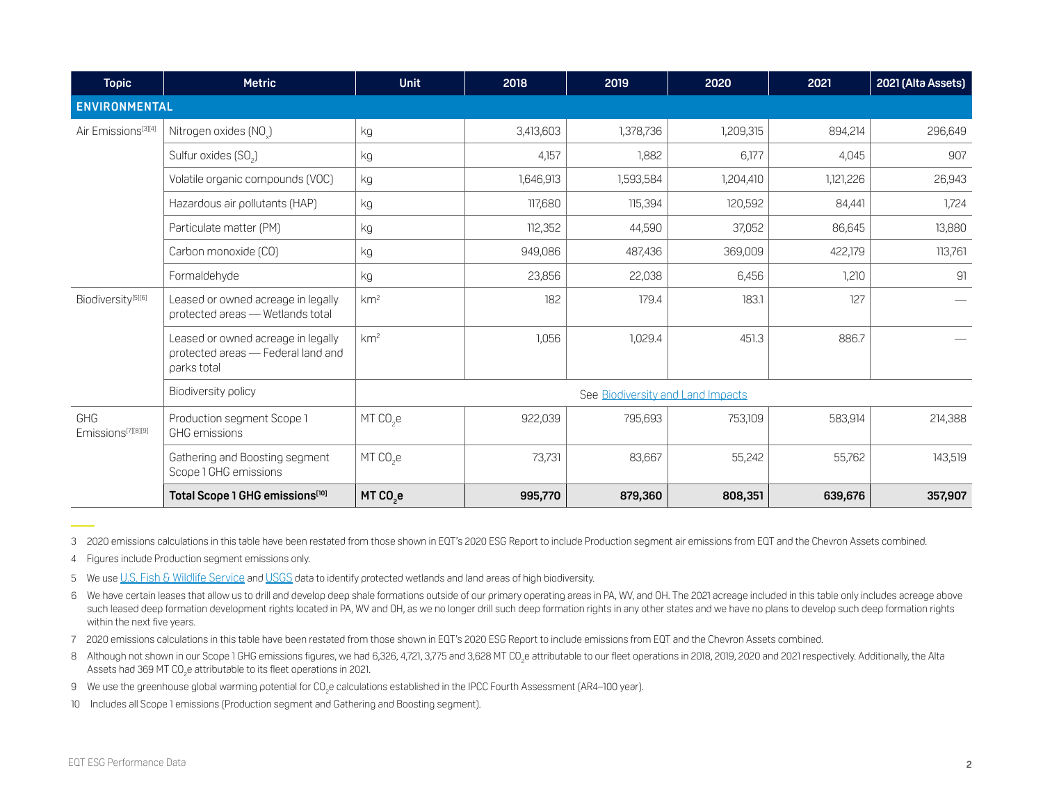| <b>Topic</b>                          | <b>Metric</b>                                                                           | <b>Unit</b>                       | 2018      | 2019      | 2020      | 2021      | 2021 (Alta Assets) |  |  |
|---------------------------------------|-----------------------------------------------------------------------------------------|-----------------------------------|-----------|-----------|-----------|-----------|--------------------|--|--|
| <b>ENVIRONMENTAL</b>                  |                                                                                         |                                   |           |           |           |           |                    |  |  |
| Air Emissions <sup>[3][4]</sup>       | Nitrogen oxides (NO.)                                                                   | kg                                | 3,413,603 | 1,378,736 | 1,209,315 | 894,214   | 296,649            |  |  |
|                                       | Sulfur oxides (SO <sub>2</sub> )                                                        | kg                                | 4,157     | 1,882     | 6,177     | 4,045     | 907                |  |  |
|                                       | Volatile organic compounds (VOC)                                                        | kg                                | 1,646,913 | 1,593,584 | 1,204,410 | 1,121,226 | 26,943             |  |  |
|                                       | Hazardous air pollutants (HAP)                                                          | kg                                | 117,680   | 115,394   | 120,592   | 84,441    | 1,724              |  |  |
|                                       | Particulate matter (PM)                                                                 | kg                                | 112,352   | 44,590    | 37,052    | 86,645    | 13,880             |  |  |
|                                       | Carbon monoxide (CO)                                                                    | kg                                | 949,086   | 487,436   | 369,009   | 422,179   | 113,761            |  |  |
|                                       | Formaldehyde                                                                            | kg                                | 23,856    | 22,038    | 6,456     | 1,210     | 91                 |  |  |
| Biodiversity <sup>[5][6]</sup>        | Leased or owned acreage in legally<br>protected areas - Wetlands total                  | km <sup>2</sup>                   | 182       | 179.4     | 183.1     | 127       |                    |  |  |
|                                       | Leased or owned acreage in legally<br>protected areas - Federal land and<br>parks total | km <sup>2</sup>                   | 1,056     | 1,029.4   | 451.3     | 886.7     |                    |  |  |
|                                       | Biodiversity policy                                                                     | See Biodiversity and Land Impacts |           |           |           |           |                    |  |  |
| GHG<br>Emissions <sup>[7][8][9]</sup> | Production segment Scope 1<br><b>GHG</b> emissions                                      | MT CO <sub>2</sub> e              | 922,039   | 795,693   | 753,109   | 583,914   | 214,388            |  |  |
|                                       | Gathering and Boosting segment<br>Scope 1 GHG emissions                                 | $MT CO2$ e                        | 73,731    | 83,667    | 55,242    | 55,762    | 143,519            |  |  |
|                                       | Total Scope 1 GHG emissions[10]                                                         | MT CO <sub>2</sub> e              | 995,770   | 879,360   | 808,351   | 639,676   | 357,907            |  |  |

3 2020 emissions calculations in this table have been restated from those shown in EQT's 2020 ESG Report to include Production segment air emissions from EQT and the Chevron Assets combined.

4 Figures include Production segment emissions only.

5 We use [U.S. Fish & Wildlife Service](https://www.fws.gov/node/264847) and [USGS](https://www.usgs.gov/programs/gap-analysis-project/science/pad-us-data-download?qt-science_center_objects=0#qt-science_center_objects) data to identify protected wetlands and land areas of high biodiversity.

6 We have certain leases that allow us to drill and develop deep shale formations outside of our primary operating areas in PA, WV, and OH. The 2021 acreage included in this table only includes acreage above such leased deep formation development rights located in PA, WV and OH, as we no longer drill such deep formation rights in any other states and we have no plans to develop such deep formation rights within the next five years.

7 2020 emissions calculations in this table have been restated from those shown in EQT's 2020 ESG Report to include emissions from EQT and the Chevron Assets combined.

8 Although not shown in our Scope 1 GHG emissions figures, we had 6,326, 4,721, 3,775 and 3,628 MT CO<sub>2</sub>e attributable to our fleet operations in 2018, 2019, 2020 and 2021 respectively. Additionally, the Alta Assets had 369 MT CO $_2$ e attributable to its fleet operations in 2021.

9  $\,$  We use the greenhouse global warming potential for CO $_2$ e calculations established in the IPCC Fourth Assessment (AR4–100 year).

10 Includes all Scope 1 emissions (Production segment and Gathering and Boosting segment).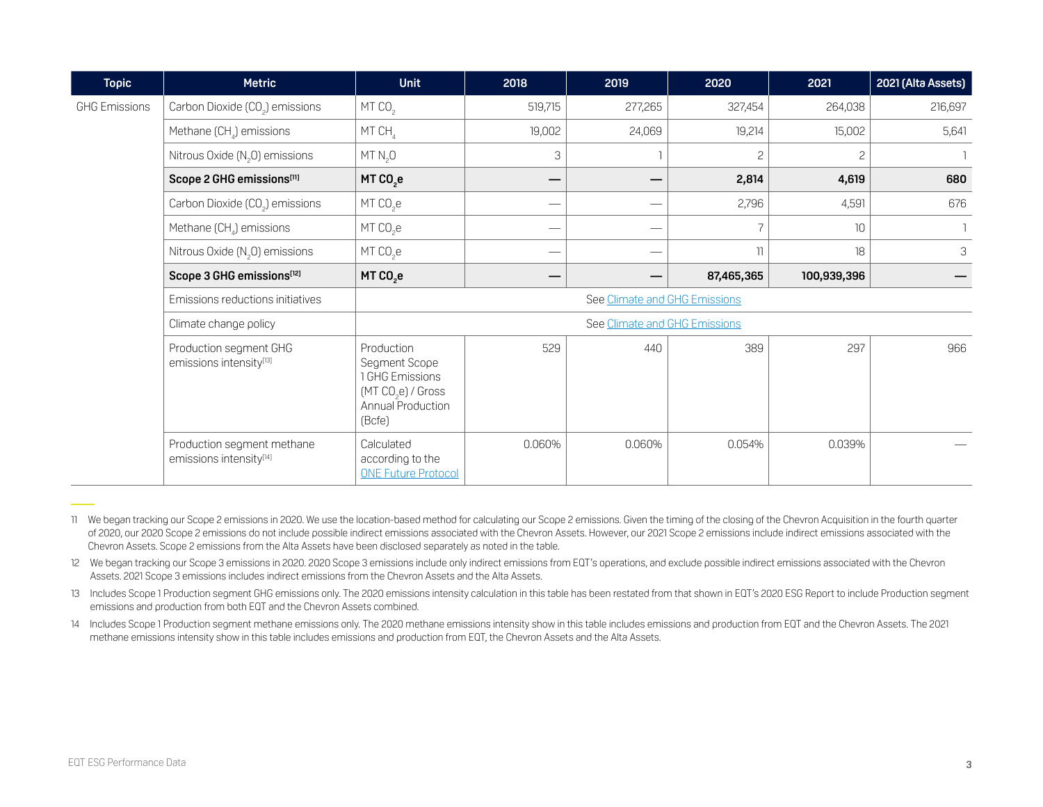| <b>Topic</b>         | <b>Metric</b>                                         | <b>Unit</b>                                                                                                     | 2018                     | 2019                          | 2020           | 2021            | 2021 (Alta Assets) |  |  |  |
|----------------------|-------------------------------------------------------|-----------------------------------------------------------------------------------------------------------------|--------------------------|-------------------------------|----------------|-----------------|--------------------|--|--|--|
| <b>GHG Emissions</b> | Carbon Dioxide (CO <sub>2</sub> ) emissions           | MT CO <sub>2</sub>                                                                                              | 519,715                  | 277,265                       | 327,454        | 264,038         | 216,697            |  |  |  |
|                      | Methane (CH <sub>4</sub> ) emissions                  | MT CH                                                                                                           | 19,002                   | 24,069                        | 19,214         | 15,002          | 5,641              |  |  |  |
|                      | Nitrous Oxide $(N, 0)$ emissions                      | MT N <sub>2</sub> 0                                                                                             | 3                        |                               | $\overline{c}$ | $\overline{c}$  |                    |  |  |  |
|                      | Scope 2 GHG emissions[11]                             | MT CO <sub>2</sub> e                                                                                            | —                        |                               | 2,814          | 4,619           | 680                |  |  |  |
|                      | Carbon Dioxide (CO <sub>2</sub> ) emissions           | MT CO <sub>2</sub> e                                                                                            | —                        | $\overbrace{\hspace{15em}}$   | 2,796          | 4,591           | 676                |  |  |  |
|                      | Methane (CH <sub>4</sub> ) emissions                  | $MT CO2$ e                                                                                                      |                          | $\overbrace{\phantom{aaaaa}}$ | 7              | 10 <sup>°</sup> |                    |  |  |  |
|                      | Nitrous Oxide $(N, 0)$ emissions                      | $MT CO2$ e                                                                                                      | $\overline{\phantom{0}}$ | $\overbrace{\hspace{15em}}$   | 11             | 18              | 3                  |  |  |  |
|                      | Scope 3 GHG emissions[12]                             | MT CO <sub>2</sub> e                                                                                            | –                        |                               | 87,465,365     | 100,939,396     |                    |  |  |  |
|                      | Emissions reductions initiatives                      | See Climate and GHG Emissions                                                                                   |                          |                               |                |                 |                    |  |  |  |
|                      | Climate change policy                                 | See Climate and GHG Emissions                                                                                   |                          |                               |                |                 |                    |  |  |  |
|                      | Production segment GHG<br>emissions intensity[13]     | Production<br>Segment Scope<br>1 GHG Emissions<br>(MT CO <sub>2</sub> e) / Gross<br>Annual Production<br>(Bcfe) | 529                      | 440                           | 389            | 297             | 966                |  |  |  |
|                      | Production segment methane<br>emissions intensity[14] | Calculated<br>according to the<br><b>ONE Future Protocol</b>                                                    | 0.060%                   | 0.060%                        | 0.054%         | 0.039%          |                    |  |  |  |

<sup>11</sup> We began tracking our Scope 2 emissions in 2020. We use the location-based method for calculating our Scope 2 emissions. Given the timing of the closing of the Chevron Acquisition in the fourth quarter of 2020, our 2020 Scope 2 emissions do not include possible indirect emissions associated with the Chevron Assets. However, our 2021 Scope 2 emissions include indirect emissions associated with the Chevron Assets. Scope 2 emissions from the Alta Assets have been disclosed separately as noted in the table.

- 12 We began tracking our Scope 3 emissions in 2020. 2020 Scope 3 emissions include only indirect emissions from EQT's operations, and exclude possible indirect emissions associated with the Chevron Assets. 2021 Scope 3 emissions includes indirect emissions from the Chevron Assets and the Alta Assets.
- 13 Includes Scope 1 Production segment GHG emissions only. The 2020 emissions intensity calculation in this table has been restated from that shown in EQT's 2020 ESG Report to include Production segment emissions and production from both EQT and the Chevron Assets combined.
- 14 Includes Scope 1 Production segment methane emissions only. The 2020 methane emissions intensity show in this table includes emissions and production from EQT and the Chevron Assets. The 2021 methane emissions intensity show in this table includes emissions and production from EQT, the Chevron Assets and the Alta Assets.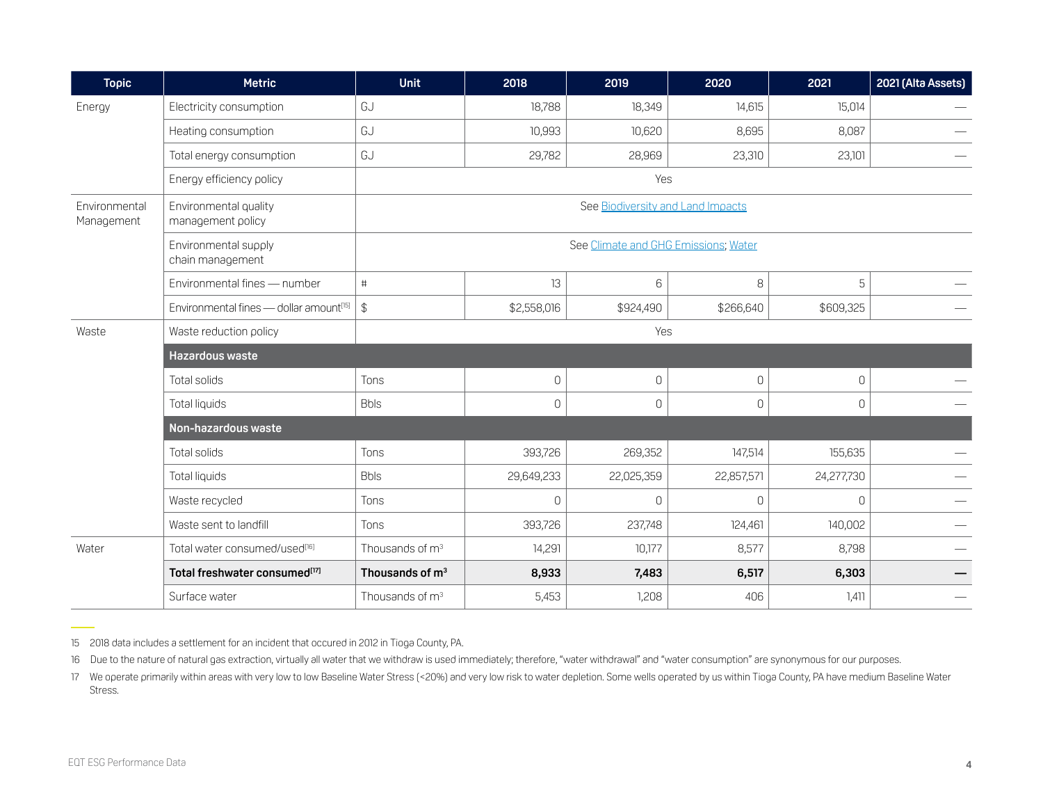| <b>Topic</b>                | <b>Metric</b>                                       | <b>Unit</b>                          | 2018         | 2019           | 2020           | 2021         | 2021 (Alta Assets) |  |  |  |
|-----------------------------|-----------------------------------------------------|--------------------------------------|--------------|----------------|----------------|--------------|--------------------|--|--|--|
| Energy                      | Electricity consumption                             | GJ                                   | 18,788       | 18,349         | 14,615         | 15,014       |                    |  |  |  |
|                             | Heating consumption                                 | GJ                                   | 10,993       | 10,620         | 8,695          | 8,087        |                    |  |  |  |
|                             | Total energy consumption                            | GJ                                   | 29,782       | 28,969         | 23,310         | 23,101       |                    |  |  |  |
|                             | Energy efficiency policy                            | Yes                                  |              |                |                |              |                    |  |  |  |
| Environmental<br>Management | Environmental quality<br>management policy          | See Biodiversity and Land Impacts    |              |                |                |              |                    |  |  |  |
|                             | Environmental supply<br>chain management            | See Climate and GHG Emissions; Water |              |                |                |              |                    |  |  |  |
|                             | Environmental fines - number                        | #                                    | 13           | 6              | 8              | 5            |                    |  |  |  |
|                             | Environmental fines - dollar amount <sup>[15]</sup> | \$                                   | \$2,558,016  | \$924,490      | \$266,640      | \$609,325    |                    |  |  |  |
| Waste                       | Waste reduction policy                              | Yes                                  |              |                |                |              |                    |  |  |  |
|                             | Hazardous waste                                     |                                      |              |                |                |              |                    |  |  |  |
|                             | Total solids                                        | Tons                                 | $\mathbf 0$  | $\mathbf 0$    | $\mathsf{O}$   | $\Omega$     |                    |  |  |  |
|                             | Total liquids                                       | <b>Bbls</b>                          | $\mathsf{O}$ | $\overline{0}$ | 0              | $\mathbf 0$  |                    |  |  |  |
|                             | Non-hazardous waste                                 |                                      |              |                |                |              |                    |  |  |  |
|                             | Total solids                                        | Tons                                 | 393,726      | 269,352        | 147,514        | 155,635      |                    |  |  |  |
|                             | Total liquids                                       | <b>Bbls</b>                          | 29,649,233   | 22,025,359     | 22,857,571     | 24,277,730   |                    |  |  |  |
|                             | Waste recycled                                      | Tons                                 | $\mathbf{0}$ | $\overline{0}$ | $\overline{0}$ | $\mathbf{0}$ |                    |  |  |  |
|                             | Waste sent to landfill                              | Tons                                 | 393,726      | 237,748        | 124,461        | 140,002      |                    |  |  |  |
| Water                       | Total water consumed/used[16]                       | Thousands of m <sup>3</sup>          | 14,291       | 10,177         | 8,577          | 8,798        |                    |  |  |  |
|                             | Total freshwater consumed <sup>[17]</sup>           | Thousands of m <sup>3</sup>          | 8,933        | 7,483          | 6,517          | 6,303        |                    |  |  |  |
|                             | Surface water                                       | Thousands of m <sup>3</sup>          | 5,453        | 1,208          | 406            | 1,411        |                    |  |  |  |

15 2018 data includes a settlement for an incident that occured in 2012 in Tioga County, PA.

16 Due to the nature of natural gas extraction, virtually all water that we withdraw is used immediately; therefore, "water withdrawal" and "water consumption" are synonymous for our purposes.

17 We operate primarily within areas with very low to low Baseline Water Stress (<20%) and very low risk to water depletion. Some wells operated by us within Tioga County, PA have medium Baseline Water Stress.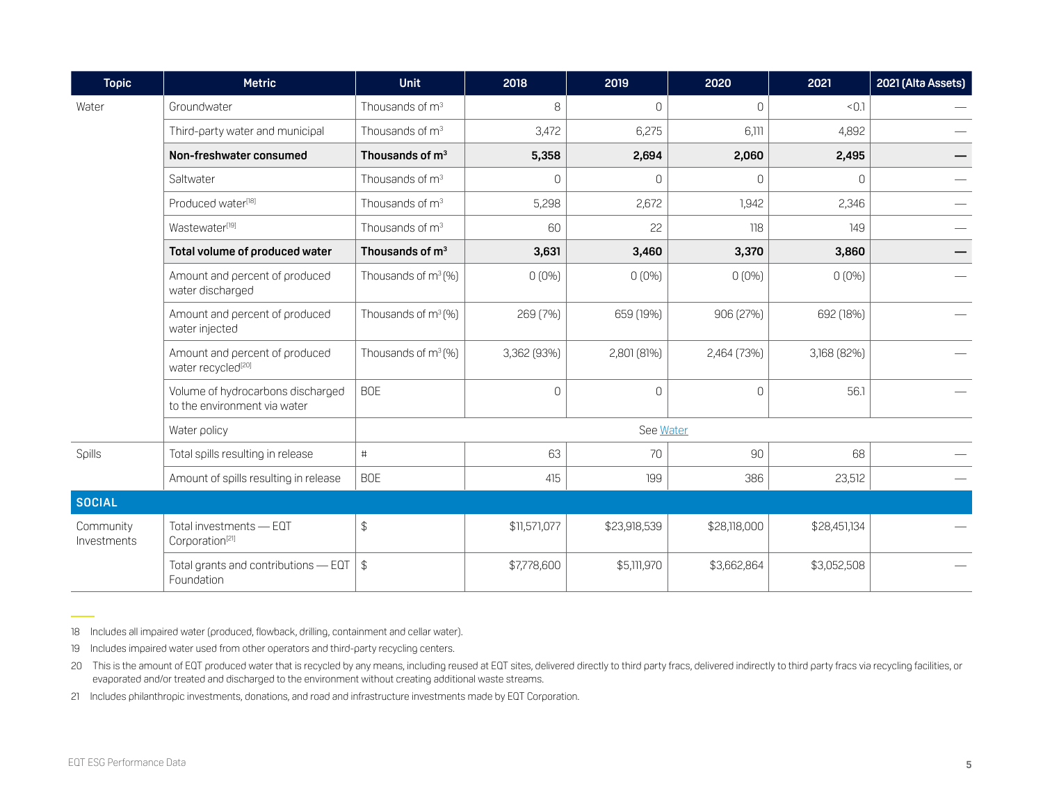| <b>Topic</b>             | <b>Metric</b>                                                     | <b>Unit</b>                     | 2018         | 2019         | 2020         | 2021         | 2021 (Alta Assets) |  |  |
|--------------------------|-------------------------------------------------------------------|---------------------------------|--------------|--------------|--------------|--------------|--------------------|--|--|
| Water                    | Groundwater                                                       | Thousands of m <sup>3</sup>     | 8            | $\Omega$     | $\mathbf{0}$ | < 0.1        |                    |  |  |
|                          | Third-party water and municipal                                   | Thousands of $m3$               | 3,472        | 6,275        | 6,111        | 4,892        |                    |  |  |
|                          | Non-freshwater consumed                                           | Thousands of m <sup>3</sup>     | 5,358        | 2,694        | 2,060        | 2,495        |                    |  |  |
|                          | Saltwater                                                         | Thousands of m <sup>3</sup>     | $\mathsf{O}$ | 0            | $\mathsf{O}$ | $\Omega$     |                    |  |  |
|                          | Produced water <sup>[18]</sup>                                    | Thousands of m <sup>3</sup>     | 5,298        | 2,672        | 1,942        | 2,346        |                    |  |  |
|                          | Wastewater <sup>[19]</sup>                                        | Thousands of m <sup>3</sup>     | 60           | 22           | 118          | 149          |                    |  |  |
|                          | Total volume of produced water                                    | Thousands of m <sup>3</sup>     | 3,631        | 3,460        | 3,370        | 3,860        |                    |  |  |
|                          | Amount and percent of produced<br>water discharged                | Thousands of $m^3(\%)$          | $0(0\%)$     | $0(0\%)$     | $0(0\%)$     | $0(0\%)$     |                    |  |  |
|                          | Amount and percent of produced<br>water injected                  | Thousands of m <sup>3</sup> (%) | 269 (7%)     | 659 (19%)    | 906 (27%)    | 692 (18%)    |                    |  |  |
|                          | Amount and percent of produced<br>water recycled <sup>[20]</sup>  | Thousands of m <sup>3</sup> (%) | 3,362 (93%)  | 2,801 (81%)  | 2,464 (73%)  | 3,168 (82%)  |                    |  |  |
|                          | Volume of hydrocarbons discharged<br>to the environment via water | <b>BOE</b>                      | $\mathbf{0}$ | $\Omega$     | $\mathbf 0$  | 56.1         |                    |  |  |
|                          | Water policy                                                      | See Water                       |              |              |              |              |                    |  |  |
| Spills                   | Total spills resulting in release                                 | $\#$                            | 63           | 70           | 90           | 68           |                    |  |  |
|                          | Amount of spills resulting in release                             | <b>BOE</b>                      | 415          | 199          | 386          | 23,512       |                    |  |  |
| <b>SOCIAL</b>            |                                                                   |                                 |              |              |              |              |                    |  |  |
| Community<br>Investments | Total investments - EQT<br>Corporation <sup>[21]</sup>            | $\frac{1}{2}$                   | \$11,571,077 | \$23,918,539 | \$28,118,000 | \$28,451,134 |                    |  |  |
|                          | Total grants and contributions - EQT<br>Foundation                | \$                              | \$7,778,600  | \$5,111,970  | \$3,662,864  | \$3,052,508  |                    |  |  |

18 Includes all impaired water (produced, flowback, drilling, containment and cellar water).

19 Includes impaired water used from other operators and third-party recycling centers.

20 This is the amount of EQT produced water that is recycled by any means, including reused at EQT sites, delivered directly to third party to articly to third party fracs via recycling facilities, or evaporated and/or treated and discharged to the environment without creating additional waste streams.

21 Includes philanthropic investments, donations, and road and infrastructure investments made by EQT Corporation.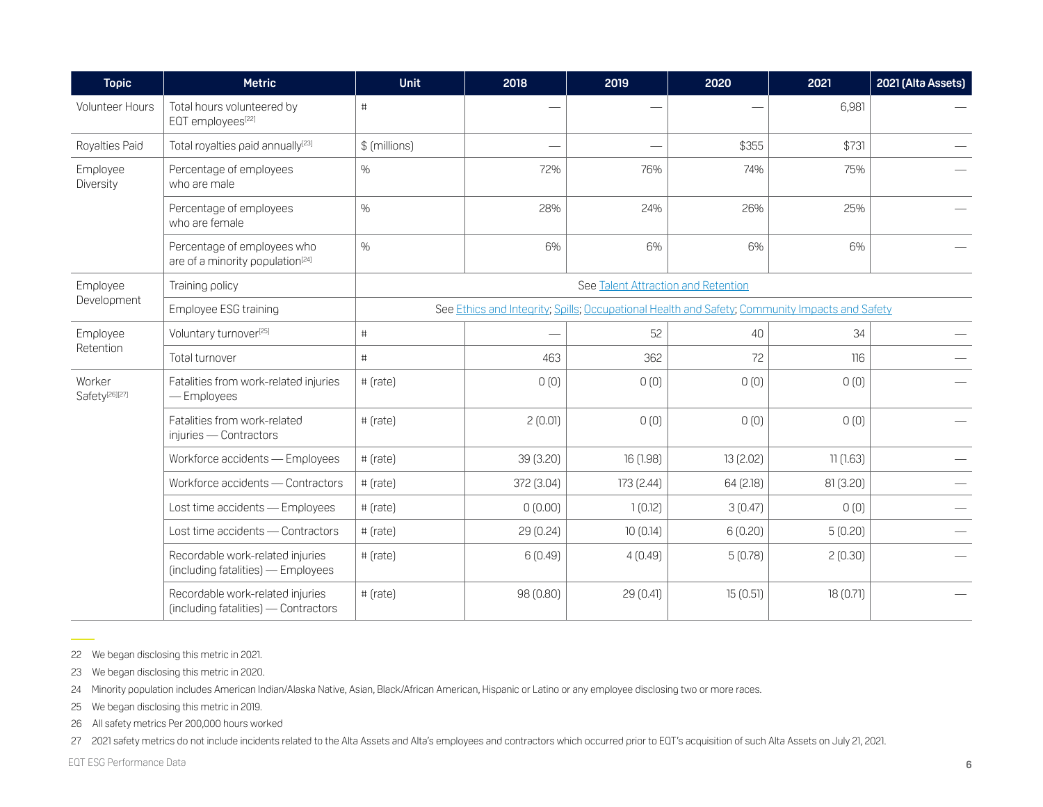| <b>Topic</b>                                                     | <b>Metric</b>                                                               | <b>Unit</b>                                                                                    | 2018                     | 2019                     | 2020      | 2021      | 2021 (Alta Assets) |  |  |
|------------------------------------------------------------------|-----------------------------------------------------------------------------|------------------------------------------------------------------------------------------------|--------------------------|--------------------------|-----------|-----------|--------------------|--|--|
| Volunteer Hours                                                  | Total hours volunteered by<br>EQT employees[22]                             | #                                                                                              |                          |                          |           | 6,981     |                    |  |  |
| Royalties Paid                                                   | Total royalties paid annually <sup>[23]</sup>                               | \$ (millions)                                                                                  | $\overline{\phantom{0}}$ | $\overline{\phantom{a}}$ | \$355     | \$731     |                    |  |  |
| Employee<br>Diversity                                            | Percentage of employees<br>who are male                                     | $\%$                                                                                           | 72%                      | 76%                      | 74%       | 75%       |                    |  |  |
|                                                                  | Percentage of employees<br>who are female                                   | $\%$                                                                                           | 28%                      | 24%                      | 26%       | 25%       |                    |  |  |
|                                                                  | Percentage of employees who<br>are of a minority population <sup>[24]</sup> | $\%$                                                                                           | 6%                       | 6%                       | 6%        | 6%        |                    |  |  |
| Employee                                                         | Training policy                                                             | See Talent Attraction and Retention                                                            |                          |                          |           |           |                    |  |  |
|                                                                  | Employee ESG training                                                       | See Ethics and Integrity; Spills; Occupational Health and Safety; Community Impacts and Safety |                          |                          |           |           |                    |  |  |
| Employee                                                         | Voluntary turnover <sup>[25]</sup>                                          | $\#$                                                                                           |                          | 52                       | 40        | 34        |                    |  |  |
|                                                                  | Total turnover                                                              | $\#$                                                                                           | 463                      | 362                      | 72        | 116       |                    |  |  |
| Development<br>Retention<br>Worker<br>Safety <sup>[26][27]</sup> | Fatalities from work-related injuries<br>- Employees                        | # (rate)                                                                                       | 0(0)                     | 0(0)                     | 0(0)      | 0(0)      |                    |  |  |
|                                                                  | Fatalities from work-related<br>injuries - Contractors                      | # (rate)                                                                                       | 2(0.01)                  | 0(0)                     | 0(0)      | 0(0)      |                    |  |  |
|                                                                  | Workforce accidents - Employees                                             | # (rate)                                                                                       | 39 (3.20)                | 16 (1.98)                | 13 (2.02) | 11(1.63)  |                    |  |  |
|                                                                  | Workforce accidents - Contractors                                           | # (rate)                                                                                       | 372 (3.04)               | 173 (2.44)               | 64 (2.18) | 81 (3.20) |                    |  |  |
|                                                                  | Lost time accidents - Employees                                             | # (rate)                                                                                       | 0(0.00)                  | 1(0.12)                  | 3(0.47)   | 0(0)      |                    |  |  |
|                                                                  | Lost time accidents - Contractors                                           | # (rate)                                                                                       | 29 (0.24)                | 10(0.14)                 | 6(0.20)   | 5(0.20)   |                    |  |  |
|                                                                  | Recordable work-related injuries<br>(including fatalities) - Employees      | # (rate)                                                                                       | 6(0.49)                  | 4(0.49)                  | 5(0.78)   | 2(0.30)   |                    |  |  |
|                                                                  | Recordable work-related injuries<br>(including fatalities) - Contractors    | # (rate)                                                                                       | 98 (0.80)                | 29 (0.41)                | 15(0.51)  | 18(0.71)  |                    |  |  |

22 We began disclosing this metric in 2021.

23 We began disclosing this metric in 2020.

24 Minority population includes American Indian/Alaska Native, Asian, Black/African American, Hispanic or Latino or any employee disclosing two or more races.

25 We began disclosing this metric in 2019.

26 All safety metrics Per 200,000 hours worked

27 2021 safety metrics do not include incidents related to the Alta Assets and Alta's employees and contractors which occurred prior to EQT's acquisition of such Alta Assets on July 21, 2021.

EQT ESG Performance Data **6**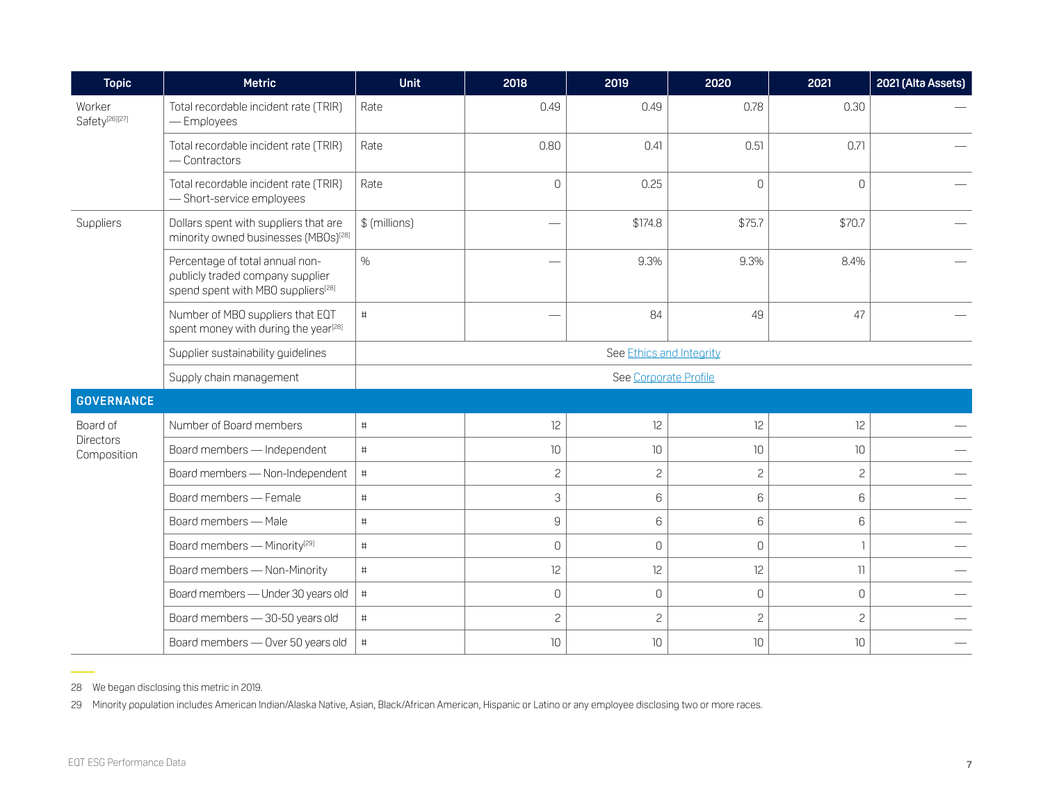| <b>Topic</b>                         | <b>Metric</b>                                                                                                         | <b>Unit</b>              | 2018                                                                                                                                                                                                                           | 2019           | 2020           | 2021            | 2021 (Alta Assets) |  |  |  |
|--------------------------------------|-----------------------------------------------------------------------------------------------------------------------|--------------------------|--------------------------------------------------------------------------------------------------------------------------------------------------------------------------------------------------------------------------------|----------------|----------------|-----------------|--------------------|--|--|--|
| Worker<br>Safety <sup>[26][27]</sup> | Total recordable incident rate (TRIR)<br>-Employees                                                                   | Rate                     | 0.49                                                                                                                                                                                                                           | 0.49           | 0.78           | 0.30            |                    |  |  |  |
|                                      | Total recordable incident rate (TRIR)<br>- Contractors                                                                | Rate                     | 0.80                                                                                                                                                                                                                           | 0.41           | 0.51           | 0.71            |                    |  |  |  |
|                                      | Total recordable incident rate (TRIR)<br>-Short-service employees                                                     | Rate                     | $\mathsf{O}$                                                                                                                                                                                                                   | 0.25           | $\mathbf 0$    | $\Omega$        |                    |  |  |  |
| Suppliers                            | Dollars spent with suppliers that are<br>minority owned businesses (MBOs) <sup>[28]</sup>                             | \$ (millions)            | e de la provincia de la provincia de la provincia de la provincia de la provincia de la provincia de la provincia de la provincia de la provincia de la provincia de la provincia de la provincia de la provincia de la provin | \$174.8        | \$75.7         | \$70.7          |                    |  |  |  |
|                                      | Percentage of total annual non-<br>publicly traded company supplier<br>spend spent with MBO suppliers <sup>[28]</sup> | $\%$                     | $\sim$                                                                                                                                                                                                                         | 9.3%           | 9.3%           | 8.4%            |                    |  |  |  |
|                                      | Number of MBO suppliers that EQT<br>spent money with during the year <sup>[28]</sup>                                  | #                        |                                                                                                                                                                                                                                | 84             | 49             | 47              |                    |  |  |  |
|                                      | Supplier sustainability guidelines                                                                                    | See Ethics and Integrity |                                                                                                                                                                                                                                |                |                |                 |                    |  |  |  |
|                                      | Supply chain management                                                                                               | See Corporate Profile    |                                                                                                                                                                                                                                |                |                |                 |                    |  |  |  |
| <b>GOVERNANCE</b>                    |                                                                                                                       |                          |                                                                                                                                                                                                                                |                |                |                 |                    |  |  |  |
| Board of                             | Number of Board members                                                                                               | $\#$                     | 12                                                                                                                                                                                                                             | 12             | 12             | 12              |                    |  |  |  |
| <b>Directors</b><br>Composition      | Board members - Independent                                                                                           | $\#$                     | 10                                                                                                                                                                                                                             | 10             | 10             | 10 <sup>°</sup> |                    |  |  |  |
|                                      | Board members - Non-Independent                                                                                       | $\#$                     | $\mathbf{2}$                                                                                                                                                                                                                   | $\overline{c}$ | $\overline{c}$ | $\overline{c}$  |                    |  |  |  |
|                                      | Board members - Female                                                                                                | $\#$                     | $\ensuremath{\mathsf{3}}$                                                                                                                                                                                                      | 6              | 6              | 6               |                    |  |  |  |
|                                      | Board members - Male                                                                                                  | $\#$                     | $\mathsf g$                                                                                                                                                                                                                    | 6              | 6              | 6               |                    |  |  |  |
|                                      | Board members - Minority <sup>[29]</sup>                                                                              | $\#$                     | $\mathsf{O}\xspace$                                                                                                                                                                                                            | $\mathbf 0$    | $\mathbb O$    | $\overline{1}$  |                    |  |  |  |
|                                      | Board members - Non-Minority                                                                                          | $\#$                     | 12                                                                                                                                                                                                                             | 12             | 12             | $\overline{1}$  |                    |  |  |  |
|                                      | Board members - Under 30 years old                                                                                    | $\#$                     | $\mathsf{O}$                                                                                                                                                                                                                   | $\mathbf{0}$   | $\mathbf 0$    | $\Omega$        |                    |  |  |  |
|                                      | Board members - 30-50 years old                                                                                       | $\#$                     | $\overline{c}$                                                                                                                                                                                                                 | $\overline{c}$ | $\overline{c}$ | $\overline{c}$  |                    |  |  |  |
|                                      | Board members - Over 50 years old                                                                                     | $\#$                     | 10                                                                                                                                                                                                                             | 10             | 10             | 10              |                    |  |  |  |

28 We began disclosing this metric in 2019.

29 Minority population includes American Indian/Alaska Native, Asian, Black/African American, Hispanic or Latino or any employee disclosing two or more races.